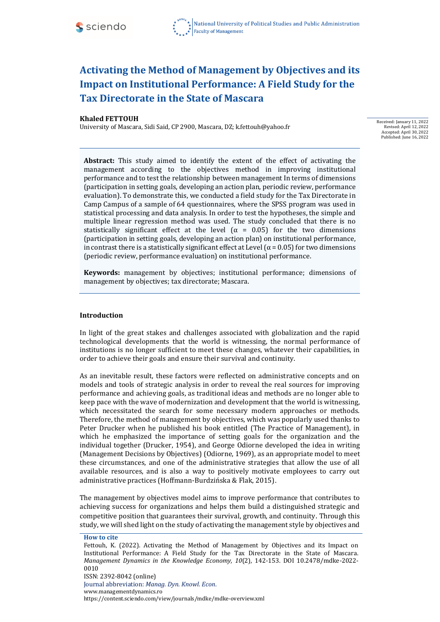

#### **Khaled FETTOUH**

University of Mascara, Sidi Said, CP 2900, Mascara, DZ; [k.fettouh@yahoo.fr](mailto:k.fettouh@yahoo.fr)

Received: January 11, 2022 Revised: April 12, 2022 Accepted: April 30, 2022 Published: June 16, 2022

**Abstract:** This study aimed to identify the extent of the effect of activating the management according to the objectives method in improving institutional performance and to test the relationship between management In terms of dimensions (participation in setting goals, developing an action plan, periodic review, performance evaluation). To demonstrate this, we conducted a field study for the Tax Directorate in Camp Campus of a sample of 64 questionnaires, where the SPSS program was used in statistical processing and data analysis. In order to test the hypotheses, the simple and multiple linear regression method was used. The study concluded that there is no statistically significant effect at the level ( $\alpha$  = 0.05) for the two dimensions (participation in setting goals, developing an action plan) on institutional performance, in contrast there is a statistically significant effect at Level ( $\alpha$  = 0.05) for two dimensions (periodic review, performance evaluation) on institutional performance.

**Keywords:** management by objectives; institutional performance; dimensions of management by objectives; tax directorate; Mascara.

# **Introduction**

In light of the great stakes and challenges associated with globalization and the rapid technological developments that the world is witnessing, the normal performance of institutions is no longer sufficient to meet these changes, whatever their capabilities, in order to achieve their goals and ensure their survival and continuity.

As an inevitable result, these factors were reflected on administrative concepts and on models and tools of strategic analysis in order to reveal the real sources for improving performance and achieving goals, as traditional ideas and methods are no longer able to keep pace with the wave of modernization and development that the world is witnessing, which necessitated the search for some necessary modern approaches or methods. Therefore, the method of management by objectives, which was popularly used thanks to Peter Drucker when he published his book entitled (The Practice of Management), in which he emphasized the importance of setting goals for the organization and the individual together (Drucker, 1954), and George Odiorne developed the idea in writing (Management Decisions by Objectives) (Odiorne, 1969), as an appropriate model to meet these circumstances, and one of the administrative strategies that allow the use of all available resources, and is also a way to positively motivate employees to carry out administrative practices (Hoffmann-Burdzińska & Flak, 2015).

The management by objectives model aims to improve performance that contributes to achieving success for organizations and helps them build a distinguished strategic and competitive position that guarantees their survival, growth, and continuity. Through this study, we will shed light on the study of activating the management style by objectives and

**How to cite**

Fettouh, K. (2022). Activating the Method of Management by Objectives and its Impact on Institutional Performance: A Field Study for the Tax Directorate in the State of Mascara. *Management Dynamics in the Knowledge Economy, 10*(2)*,* 142-153. DOI 10.2478/mdke-2022- 0010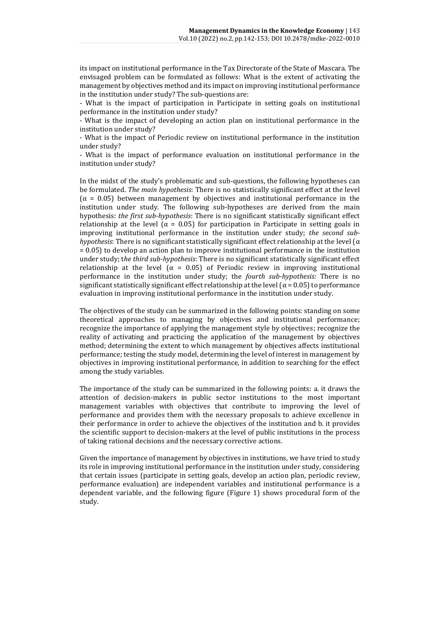its impact on institutional performance in the Tax Directorate of the State of Mascara. The envisaged problem can be formulated as follows: What is the extent of activating the management by objectives method and its impact on improving institutional performance in the institution under study? The sub-questions are:

- What is the impact of participation in Participate in setting goals on institutional performance in the institution under study?

- What is the impact of developing an action plan on institutional performance in the institution under study?

- What is the impact of Periodic review on institutional performance in the institution under study?

- What is the impact of performance evaluation on institutional performance in the institution under study?

In the midst of the study's problematic and sub-questions, the following hypotheses can be formulated. *The main hypothesis*: There is no statistically significant effect at the level  $(\alpha = 0.05)$  between management by objectives and institutional performance in the institution under study. The following sub-hypotheses are derived from the main hypothesis: *the first sub-hypothesis*: There is no significant statistically significant effect relationship at the level ( $\alpha$  = 0.05) for participation in Participate in setting goals in improving institutional performance in the institution under study; *the second subhypothesis*: There is no significant statistically significant effect relationship at the level  $(\alpha$ = 0.05) to develop an action plan to improve institutional performance in the institution under study; t*he third sub-hypothesis*: There is no significant statistically significant effect relationship at the level ( $\alpha = 0.05$ ) of Periodic review in improving institutional performance in the institution under study; the *fourth sub-hypothesis:* There is no significant statistically significant effect relationship at the level ( $\alpha$  = 0.05) to performance evaluation in improving institutional performance in the institution under study.

The objectives of the study can be summarized in the following points: standing on some theoretical approaches to managing by objectives and institutional performance; recognize the importance of applying the management style by objectives; recognize the reality of activating and practicing the application of the management by objectives method; determining the extent to which management by objectives affects institutional performance; testing the study model, determining the level of interest in management by objectives in improving institutional performance, in addition to searching for the effect among the study variables.

The importance of the study can be summarized in the following points: a. it draws the attention of decision-makers in public sector institutions to the most important management variables with objectives that contribute to improving the level of performance and provides them with the necessary proposals to achieve excellence in their performance in order to achieve the objectives of the institution and b. it provides the scientific support to decision-makers at the level of public institutions in the process of taking rational decisions and the necessary corrective actions.

Given the importance of management by objectives in institutions, we have tried to study its role in improving institutional performance in the institution under study, considering that certain issues (participate in setting goals, develop an action plan, periodic review, performance evaluation) are independent variables and institutional performance is a dependent variable, and the following figure (Figure 1) shows procedural form of the study.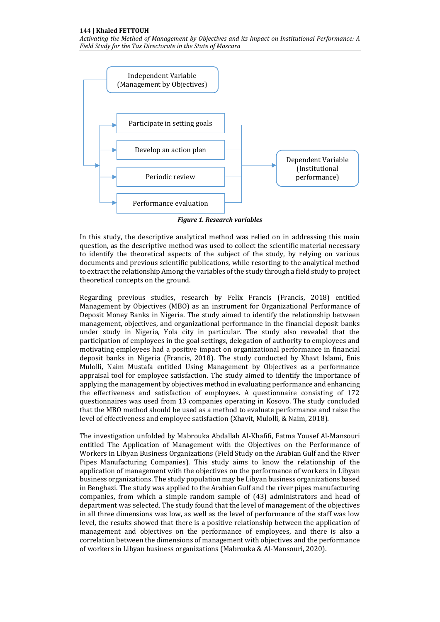

*Figure 1. Research variables*

In this study, the descriptive analytical method was relied on in addressing this main question, as the descriptive method was used to collect the scientific material necessary to identify the theoretical aspects of the subject of the study, by relying on various documents and previous scientific publications, while resorting to the analytical method to extract the relationship Among the variables of the study through a field study to project theoretical concepts on the ground.

Regarding previous studies, research by Felix Francis (Francis, 2018) entitled Management by Objectives (MBO) as an instrument for Organizational Performance of Deposit Money Banks in Nigeria. The study aimed to identify the relationship between management, objectives, and organizational performance in the financial deposit banks under study in Nigeria, Yola city in particular. The study also revealed that the participation of employees in the goal settings, delegation of authority to employees and motivating employees had a positive impact on organizational performance in financial deposit banks in Nigeria (Francis, 2018). The study conducted by Xhavt Islami, Enis Mulolli, Naim Mustafa entitled Using Management by Objectives as a performance appraisal tool for employee satisfaction. The study aimed to identify the importance of applying the management by objectives method in evaluating performance and enhancing the effectiveness and satisfaction of employees. A questionnaire consisting of 172 questionnaires was used from 13 companies operating in Kosovo. The study concluded that the MBO method should be used as a method to evaluate performance and raise the level of effectiveness and employee satisfaction (Xhavit, Mulolli, & Naim, 2018).

The investigation unfolded by Mabrouka Abdallah Al-Khafifi, Fatma Yousef Al-Mansouri entitled The Application of Management with the Objectives on the Performance of Workers in Libyan Business Organizations (Field Study on the Arabian Gulf and the River Pipes Manufacturing Companies). This study aims to know the relationship of the application of management with the objectives on the performance of workers in Libyan business organizations. The study population may be Libyan business organizations based in Benghazi. The study was applied to the Arabian Gulf and the river pipes manufacturing companies, from which a simple random sample of (43) administrators and head of department was selected. The study found that the level of management of the objectives in all three dimensions was low, as well as the level of performance of the staff was low level, the results showed that there is a positive relationship between the application of management and objectives on the performance of employees, and there is also a correlation between the dimensions of management with objectives and the performance of workers in Libyan business organizations (Mabrouka & Al-Mansouri, 2020).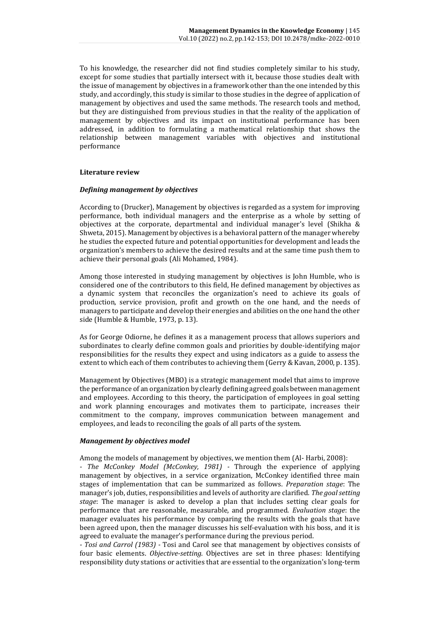To his knowledge, the researcher did not find studies completely similar to his study, except for some studies that partially intersect with it, because those studies dealt with the issue of management by objectives in a framework other than the one intended by this study, and accordingly, this study is similar to those studies in the degree of application of management by objectives and used the same methods. The research tools and method, but they are distinguished from previous studies in that the reality of the application of management by objectives and its impact on institutional performance has been addressed, in addition to formulating a mathematical relationship that shows the relationship between management variables with objectives and institutional performance

#### **Literature review**

#### *Defining management by objectives*

According to (Drucker), Management by objectives is regarded as a system for improving performance, both individual managers and the enterprise as a whole by setting of objectives at the corporate, departmental and individual manager's level (Shikha & Shweta, 2015). Management by objectives is a behavioral pattern of the manager whereby he studies the expected future and potential opportunities for development and leads the organization's members to achieve the desired results and at the same time push them to achieve their personal goals (Ali Mohamed, 1984).

Among those interested in studying management by objectives is John Humble, who is considered one of the contributors to this field, He defined management by objectives as a dynamic system that reconciles the organization's need to achieve its goals of production, service provision, profit and growth on the one hand, and the needs of managers to participate and develop their energies and abilities on the one hand the other side (Humble & Humble, 1973, p. 13).

As for George Odiorne, he defines it as a management process that allows superiors and subordinates to clearly define common goals and priorities by double-identifying major responsibilities for the results they expect and using indicators as a guide to assess the extent to which each of them contributes to achieving them (Gerry & Kavan, 2000, p. 135).

Management by Objectives (MBO) is a strategic management model that aims to improve the performance of an organization by clearly defining agreed goals between management and employees. According to this theory, the participation of employees in goal setting and work planning encourages and motivates them to participate, increases their commitment to the company, improves communication between management and employees, and leads to reconciling the goals of all parts of the system.

# *Management by objectives model*

Among the models of management by objectives, we mention them (Al- Harbi, 2008):

*- The McConkey Model (McConkey, 1981) -* Through the experience of applying management by objectives, in a service organization, McConkey identified three main stages of implementation that can be summarized as follows. *Preparation stage*: The manager's job, duties, responsibilities and levels of authority are clarified*. The goal setting stage*: The manager is asked to develop a plan that includes setting clear goals for performance that are reasonable, measurable, and programmed. *Evaluation stage*: the manager evaluates his performance by comparing the results with the goals that have been agreed upon, then the manager discusses his self-evaluation with his boss, and it is agreed to evaluate the manager's performance during the previous period.

*- Tosi and Carrol (1983) -* Tosi and Carol see that management by objectives consists of four basic elements. *Objective-setting*. Objectives are set in three phases: Identifying responsibility duty stations or activities that are essential to the organization's long-term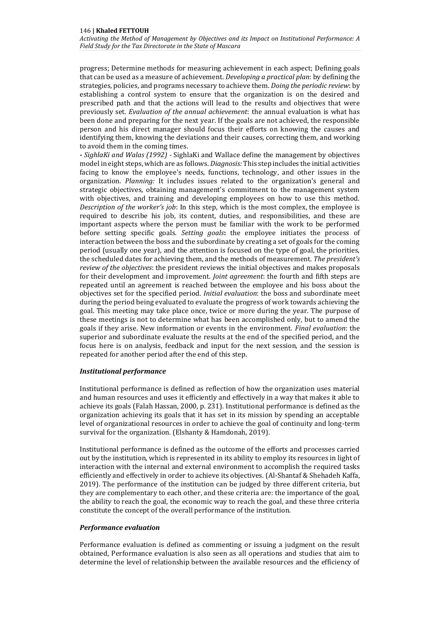progress; Determine methods for measuring achievement in each aspect; Defining goals that can be used as a measure of achievement. *Developing a practical plan*: by defining the strategies, policies, and programs necessary to achieve them. *Doing the periodic review*: by establishing a control system to ensure that the organization is on the desired and prescribed path and that the actions will lead to the results and objectives that were previously set. *Evaluation of the annual achievement*: the annual evaluation is what has been done and preparing for the next year. If the goals are not achieved, the responsible person and his direct manager should focus their efforts on knowing the causes and identifying them, knowing the deviations and their causes, correcting them, and working to avoid them in the coming times.

**-** *SighlaKi and Walas (1992) -* SighlaKi and Wallace define the management by objectives model in eight steps, which are as follows. *Diagnosis:* This step includes the initial activities facing to know the employee's needs, functions, technology, and other issues in the organization. *Planning:* It includes issues related to the organization's general and strategic objectives, obtaining management's commitment to the management system with objectives, and training and developing employees on how to use this method. *Description of the worker's job*: In this step, which is the most complex, the employee is required to describe his job, its content, duties, and responsibilities, and these are important aspects where the person must be familiar with the work to be performed before setting specific goals. *Setting goals***:** the employee initiates the process of interaction between the boss and the subordinate by creating a set of goals for the coming period (usually one year), and the attention is focused on the type of goal, the priorities, the scheduled dates for achieving them, and the methods of measurement. *The president's review of the objectives*: the president reviews the initial objectives and makes proposals for their development and improvement. *Joint agreement*: the fourth and fifth steps are repeated until an agreement is reached between the employee and his boss about the objectives set for the specified period. *Initial evaluation*: the boss and subordinate meet during the period being evaluated to evaluate the progress of work towards achieving the goal. This meeting may take place once, twice or more during the year. The purpose of these meetings is not to determine what has been accomplished only, but to amend the goals if they arise. New information or events in the environment. *Final evaluation*: the superior and subordinate evaluate the results at the end of the specified period, and the focus here is on analysis, feedback and input for the next session, and the session is repeated for another period after the end of this step.

# *Institutional performance*

Institutional performance is defined as reflection of how the organization uses material and human resources and uses it efficiently and effectively in a way that makes it able to achieve its goals (Falah Hassan, 2000, p. 231). Institutional performance is defined as the organization achieving its goals that it has set in its mission by spending an acceptable level of organizational resources in order to achieve the goal of continuity and long-term survival for the organization. (Elshanty & Hamdonah, 2019).

Institutional performance is defined as the outcome of the efforts and processes carried out by the institution, which is represented in its ability to employ its resources in light of interaction with the internal and external environment to accomplish the required tasks efficiently and effectively in order to achieve its objectives. (Al-Shantaf & Shehadeh Kaffa, 2019). The performance of the institution can be judged by three different criteria, but they are complementary to each other, and these criteria are: the importance of the goal, the ability to reach the goal, the economic way to reach the goal, and these three criteria constitute the concept of the overall performance of the institution.

# *Performance evaluation*

Performance evaluation is defined as commenting or issuing a judgment on the result obtained, Performance evaluation is also seen as all operations and studies that aim to determine the level of relationship between the available resources and the efficiency of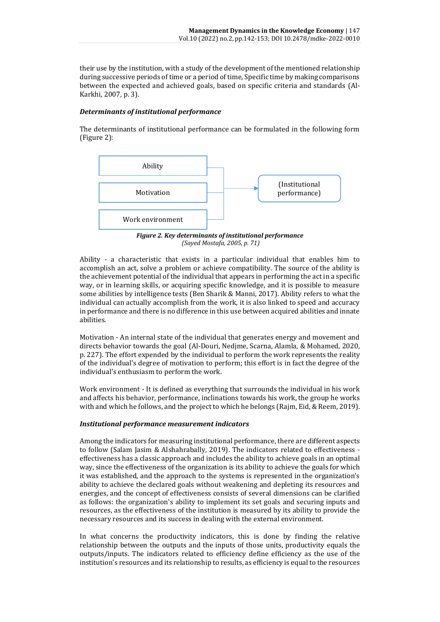their use by the institution, with a study of the development of the mentioned relationship during successive periods of time or a period of time, Specific time by making comparisons between the expected and achieved goals, based on specific criteria and standards (Al-Karkhi, 2007, p. 3).

# *Determinants of institutional performance*

The determinants of institutional performance can be formulated in the following form (Figure 2):



*Figure 2. Key determinants of institutional performance (Sayed Mostafa, 2005, p. 71)*

Ability - a characteristic that exists in a particular individual that enables him to accomplish an act, solve a problem or achieve compatibility. The source of the ability is the achievement potential of the individual that appears in performing the act in a specific way, or in learning skills, or acquiring specific knowledge, and it is possible to measure some abilities by intelligence tests (Ben Sharik & Manni, 2017). Ability refers to what the individual can actually accomplish from the work, it is also linked to speed and accuracy in performance and there is no difference in this use between acquired abilities and innate abilities.

Motivation - An internal state of the individual that generates energy and movement and directs behavior towards the goal (Al-Douri, Nedjme, Scarna, Alamla, & Mohamed, 2020, p. 227). The effort expended by the individual to perform the work represents the reality of the individual's degree of motivation to perform; this effort is in fact the degree of the individual's enthusiasm to perform the work.

Work environment - It is defined as everything that surrounds the individual in his work and affects his behavior, performance, inclinations towards his work, the group he works with and which he follows, and the project to which he belongs (Rajm, Eid, & Reem, 2019).

# *Institutional performance measurement indicators*

Among the indicators for measuring institutional performance, there are different aspects to follow (Salam Jasim & Alshahrabally, 2019). The indicators related to effectiveness effectiveness has a classic approach and includes the ability to achieve goals in an optimal way, since the effectiveness of the organization is its ability to achieve the goals for which it was established, and the approach to the systems is represented in the organization's ability to achieve the declared goals without weakening and depleting its resources and energies, and the concept of effectiveness consists of several dimensions can be clarified as follows: the organization's ability to implement its set goals and securing inputs and resources, as the effectiveness of the institution is measured by its ability to provide the necessary resources and its success in dealing with the external environment.

In what concerns the productivity indicators, this is done by finding the relative relationship between the outputs and the inputs of those units, productivity equals the outputs/inputs. The indicators related to efficiency define efficiency as the use of the institution's resources and its relationship to results, as efficiency is equal to the resources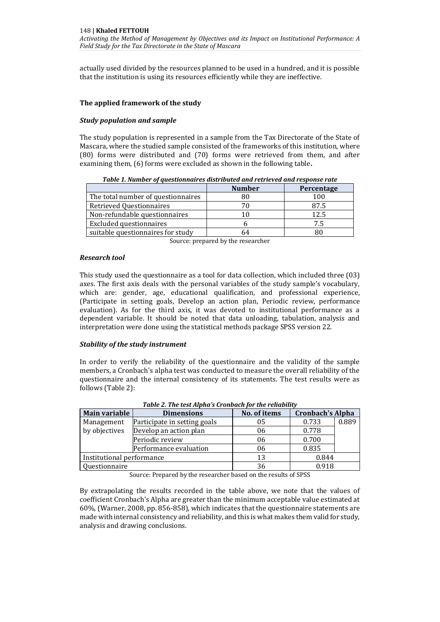actually used divided by the resources planned to be used in a hundred, and it is possible that the institution is using its resources efficiently while they are ineffective.

#### **The applied framework of the study**

#### *Study population and sample*

The study population is represented in a sample from the Tax Directorate of the State of Mascara, where the studied sample consisted of the frameworks of this institution, where (80) forms were distributed and (70) forms were retrieved from them, and after examining them, (6) forms were excluded as shown in the following table**.**

| Tubic 1: Manbel of questionnan es alsu louted and retrieved and response rate |               |            |  |  |  |
|-------------------------------------------------------------------------------|---------------|------------|--|--|--|
|                                                                               | <b>Number</b> | Percentage |  |  |  |
| The total number of questionnaires                                            | 80            | 100        |  |  |  |
| Retrieved Questionnaires                                                      | 70            | 87.5       |  |  |  |
| Non-refundable questionnaires                                                 | 10            | 12.5       |  |  |  |
| Excluded questionnaires                                                       |               | 7.5        |  |  |  |
| suitable questionnaires for study                                             | 64            |            |  |  |  |

*Table 1. Number of questionnaires distributed and retrieved and response rate*

Source: prepared by the researcher

#### *Research tool*

This study used the questionnaire as a tool for data collection, which included three (03) axes. The first axis deals with the personal variables of the study sample's vocabulary, which are: gender, age, educational qualification, and professional experience, (Participate in setting goals, Develop an action plan, Periodic review, performance evaluation). As for the third axis, it was devoted to institutional performance as a dependent variable. It should be noted that data unloading, tabulation, analysis and interpretation were done using the statistical methods package SPSS version 22.

#### *Stability of the study instrument*

In order to verify the reliability of the questionnaire and the validity of the sample members, a Cronbach's alpha test was conducted to measure the overall reliability of the questionnaire and the internal consistency of its statements. The test results were as follows (Table 2):

| Tuble 2. The test Alpha 5 Crombach for the remability |                                   |    |                         |       |  |  |
|-------------------------------------------------------|-----------------------------------|----|-------------------------|-------|--|--|
| Main variable                                         | No. of items<br><b>Dimensions</b> |    | <b>Cronbach's Alpha</b> |       |  |  |
| Management                                            | Participate in setting goals      | 05 | 0.733                   | 0.889 |  |  |
| by objectives                                         | Develop an action plan            | 06 | 0.778                   |       |  |  |
|                                                       | Periodic review                   | 06 | 0.700                   |       |  |  |
|                                                       | Performance evaluation            | 06 | 0.835                   |       |  |  |
| Institutional performance                             |                                   | 13 | 0.844                   |       |  |  |
| Questionnaire                                         |                                   | 36 | 0.918                   |       |  |  |

*Table 2. The test Alpha's Cronbach for the reliability*

Source: Prepared by the researcher based on the results of SPSS

By extrapolating the results recorded in the table above, we note that the values of coefficient Cronbach's Alpha are greater than the minimum acceptable value estimated at 60%, (Warner, 2008, pp. 856-858), which indicates that the questionnaire statements are made with internal consistency and reliability, and this is what makes them valid for study, analysis and drawing conclusions.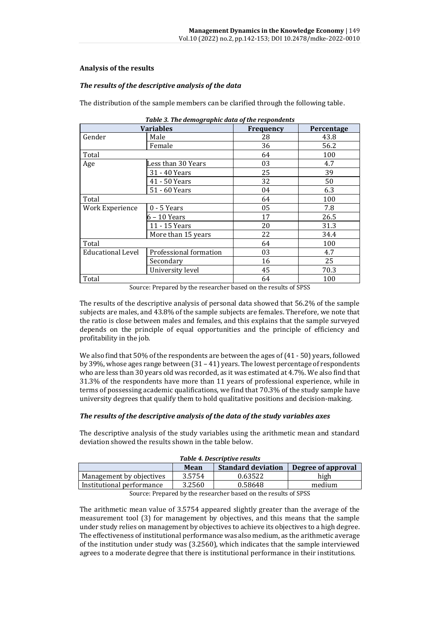# **Analysis of the results**

# *The results of the descriptive analysis of the data*

The distribution of the sample members can be clarified through the following table.

|                                                    | <b>Variables</b>   | Frequency | Percentage |
|----------------------------------------------------|--------------------|-----------|------------|
| Gender                                             | Male               | 28        | 43.8       |
|                                                    | Female             | 36        | 56.2       |
| Total                                              |                    | 64        | 100        |
| Age                                                | Less than 30 Years | 03        | 4.7        |
|                                                    | 31 - 40 Years      | 25        | 39         |
|                                                    | 41 - 50 Years      | 32        | 50         |
|                                                    | 51 - 60 Years      | 04        | 6.3        |
| Total                                              |                    | 64        | 100        |
| Work Experience<br>$0 - 5$ Years                   |                    | 05        | 7.8        |
| 6 – 10 Years                                       |                    | 17        | 26.5       |
|                                                    | 11 - 15 Years      | 20        | 31.3       |
|                                                    | More than 15 years | 22        | 34.4       |
| Total                                              |                    | 64        | 100        |
| Professional formation<br><b>Educational Level</b> |                    | 03        | 4.7        |
|                                                    | Secondary          | 16        | 25         |
|                                                    | University level   | 45        | 70.3       |
| Total                                              |                    | 64        | 100        |

|  |  | Table 3. The demographic data of the respondents |
|--|--|--------------------------------------------------|
|  |  |                                                  |

Source: Prepared by the researcher based on the results of SPSS

The results of the descriptive analysis of personal data showed that 56.2% of the sample subjects are males, and 43.8% of the sample subjects are females. Therefore, we note that the ratio is close between males and females, and this explains that the sample surveyed depends on the principle of equal opportunities and the principle of efficiency and profitability in the job.

We also find that 50% of the respondents are between the ages of (41 - 50) years, followed by 39%, whose ages range between (31 – 41) years. The lowest percentage of respondents who are less than 30 years old was recorded, as it was estimated at 4.7%. We also find that 31.3% of the respondents have more than 11 years of professional experience, while in terms of possessing academic qualifications, we find that 70.3% of the study sample have university degrees that qualify them to hold qualitative positions and decision-making.

#### *The results of the descriptive analysis of the data of the study variables axes*

The descriptive analysis of the study variables using the arithmetic mean and standard deviation showed the results shown in the table below.

| Table 4. Descriptive results                            |        |         |        |  |  |
|---------------------------------------------------------|--------|---------|--------|--|--|
| <b>Standard deviation</b><br>Degree of approval<br>Mean |        |         |        |  |  |
| Management by objectives                                | 3.5754 | 0.63522 | high   |  |  |
| Institutional performance                               | 3.2560 | 0.58648 | medium |  |  |
| $\alpha$ n ii ii ii ii ii $\alpha$ nco                  |        |         |        |  |  |

|  |  | Table 4. Descriptive results |
|--|--|------------------------------|
|  |  |                              |

Source: Prepared by the researcher based on the results of SPSS

The arithmetic mean value of 3.5754 appeared slightly greater than the average of the measurement tool (3) for management by objectives, and this means that the sample under study relies on management by objectives to achieve its objectives to a high degree. The effectiveness of institutional performance was also medium, as the arithmetic average of the institution under study was (3.2560), which indicates that the sample interviewed agrees to a moderate degree that there is institutional performance in their institutions.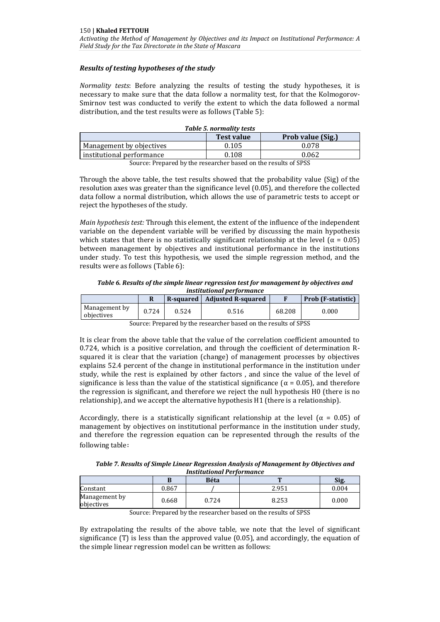# *Results of testing hypotheses of the study*

*Normality tests*: Before analyzing the results of testing the study hypotheses, it is necessary to make sure that the data follow a normality test, for that the Kolmogorov-Smirnov test was conducted to verify the extent to which the data followed a normal distribution, and the test results were as follows (Table 5):

| Table 5. normality tests               |       |       |  |  |  |  |
|----------------------------------------|-------|-------|--|--|--|--|
| Prob value (Sig.)<br><b>Test value</b> |       |       |  |  |  |  |
| Management by objectives               | 0.105 | 0.078 |  |  |  |  |
| institutional performance              | 0.108 | 0.062 |  |  |  |  |
| $\sim$ $\sim$ $\sim$ $\sim$            |       |       |  |  |  |  |

Source: Prepared by the researcher based on the results of SPSS

Through the above table, the test results showed that the probability value (Sig) of the resolution axes was greater than the significance level (0.05), and therefore the collected data follow a normal distribution, which allows the use of parametric tests to accept or reject the hypotheses of the study.

*Main hypothesis test:* Through this element, the extent of the influence of the independent variable on the dependent variable will be verified by discussing the main hypothesis which states that there is no statistically significant relationship at the level ( $\alpha = 0.05$ ) between management by objectives and institutional performance in the institutions under study. To test this hypothesis, we used the simple regression method, and the results were as follows (Table 6):

*Table 6. Results of the simple linear regression test for management by objectives and institutional performance*

|                             |       |       | R-squared   Adjusted R-squared |        | Prob (F-statistic) |
|-----------------------------|-------|-------|--------------------------------|--------|--------------------|
| Management by<br>objectives | 0.724 | 0.524 | 0.516                          | 68.208 | 0.000              |

Source: Prepared by the researcher based on the results of SPSS

It is clear from the above table that the value of the correlation coefficient amounted to 0.724, which is a positive correlation, and through the coefficient of determination Rsquared it is clear that the variation (change) of management processes by objectives explains 52.4 percent of the change in institutional performance in the institution under study, while the rest is explained by other factors , and since the value of the level of significance is less than the value of the statistical significance ( $\alpha$  = 0.05), and therefore the regression is significant, and therefore we reject the null hypothesis H0 (there is no relationship), and we accept the alternative hypothesis H1 (there is a relationship).

Accordingly, there is a statistically significant relationship at the level ( $\alpha = 0.05$ ) of management by objectives on institutional performance in the institution under study, and therefore the regression equation can be represented through the results of the following table:

| Table 7. Results of Simple Linear Regression Analysis of Management by Objectives and<br><b>Institutional Performance</b> |       |      |       |       |  |  |  |
|---------------------------------------------------------------------------------------------------------------------------|-------|------|-------|-------|--|--|--|
|                                                                                                                           |       | Béta |       | Sig.  |  |  |  |
| Constant                                                                                                                  | 0.867 |      | 2.951 | 0.004 |  |  |  |

| Table 7. Results of Simple Linear Regression Analysis of Management by Objectives and |
|---------------------------------------------------------------------------------------|
| Institutional Performance                                                             |
|                                                                                       |

Source: Prepared by the researcher based on the results of SPSS

 $\begin{array}{|c|c|c|c|c|c|c|c|}\n \hline \text{Manggenent by} & & 0.668 & & 0.724 & & 8.253 & & 0.000 \\
\text{objective} & & & & & & \\
\hline \end{array}$ 

Management by

By extrapolating the results of the above table, we note that the level of significant significance (T) is less than the approved value (0.05), and accordingly, the equation of the simple linear regression model can be written as follows: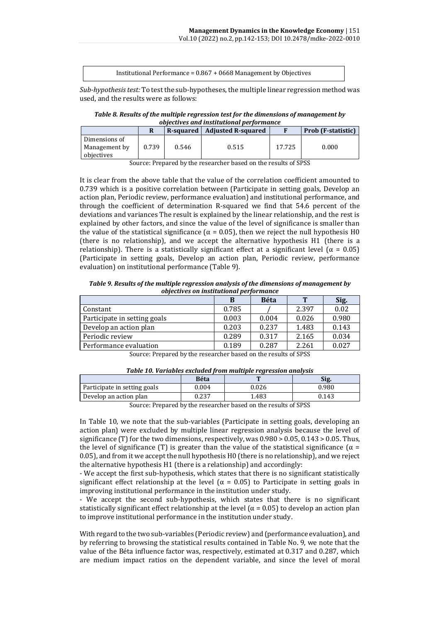| Institutional Performance = $0.867 + 0668$ Management by Objectives |
|---------------------------------------------------------------------|
|---------------------------------------------------------------------|

*Sub-hypothesis test:* To test the sub-hypotheses, the multiple linear regression method was used, and the results were as follows:

*Table 8. Results of the multiple regression test for the dimensions of management by objectives and institutional performance*

|                                              |       | R-squared | <b>Adjusted R-squared</b> |        | Prob (F-statistic) |
|----------------------------------------------|-------|-----------|---------------------------|--------|--------------------|
| Dimensions of<br>Management by<br>objectives | 0.739 | 0.546     | 0.515                     | 17.725 | 0.000              |

Source: Prepared by the researcher based on the results of SPSS

It is clear from the above table that the value of the correlation coefficient amounted to 0.739 which is a positive correlation between (Participate in setting goals, Develop an action plan, Periodic review, performance evaluation) and institutional performance, and through the coefficient of determination R-squared we find that 54.6 percent of the deviations and variances The result is explained by the linear relationship, and the rest is explained by other factors, and since the value of the level of significance is smaller than the value of the statistical significance ( $\alpha$  = 0.05), then we reject the null hypothesis H0 (there is no relationship), and we accept the alternative hypothesis H1 (there is a relationship). There is a statistically significant effect at a significant level ( $\alpha = 0.05$ ) (Participate in setting goals, Develop an action plan, Periodic review, performance evaluation) on institutional performance (Table 9).

*Table 9. Results of the multiple regression analysis of the dimensions of management by objectives on institutional performance*

|                              | B     | <b>Béta</b> | т     | Sig.  |
|------------------------------|-------|-------------|-------|-------|
| Constant                     | 0.785 |             | 2.397 | 0.02  |
| Participate in setting goals | 0.003 | 0.004       | 0.026 | 0.980 |
| Develop an action plan       | 0.203 | 0.237       | 1.483 | 0.143 |
| Periodic review              | 0.289 | 0.317       | 2.165 | 0.034 |
| Performance evaluation       | 0.189 | 0.287       | 2.261 | 0.027 |

Source: Prepared by the researcher based on the results of SPSS

| Table 10. Variables excluded from multiple rearession analysis |       |       |       |  |  |
|----------------------------------------------------------------|-------|-------|-------|--|--|
|                                                                | Béta  |       | Sig.  |  |  |
| Participate in setting goals                                   | 0.004 | 0.026 | 0.980 |  |  |
| Develop an action plan                                         | 0.237 | 1.483 | 0.143 |  |  |

*Table 10. Variables excluded from multiple regression analysis*

Source: Prepared by the researcher based on the results of SPSS

In Table 10, we note that the sub-variables (Participate in setting goals, developing an action plan) were excluded by multiple linear regression analysis because the level of significance (T) for the two dimensions, respectively, was 0.980 > 0.05, 0.143 > 0.05. Thus, the level of significance (T) is greater than the value of the statistical significance ( $\alpha$  = 0.05), and from it we accept the null hypothesis H0 (there is no relationship), and we reject the alternative hypothesis H1 (there is a relationship) and accordingly:

- We accept the first sub-hypothesis, which states that there is no significant statistically significant effect relationship at the level ( $\alpha = 0.05$ ) to Participate in setting goals in improving institutional performance in the institution under study.

- We accept the second sub-hypothesis, which states that there is no significant statistically significant effect relationship at the level  $(\alpha = 0.05)$  to develop an action plan to improve institutional performance in the institution under study.

With regard to the two sub-variables (Periodic review) and (performance evaluation), and by referring to browsing the statistical results contained in Table No. 9, we note that the value of the Béta influence factor was, respectively, estimated at 0.317 and 0.287, which are medium impact ratios on the dependent variable, and since the level of moral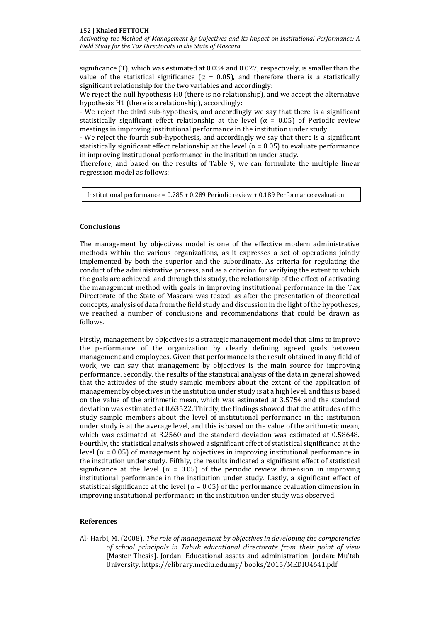significance (T), which was estimated at 0.034 and 0.027, respectively, is smaller than the value of the statistical significance ( $\alpha = 0.05$ ), and therefore there is a statistically significant relationship for the two variables and accordingly:

We reject the null hypothesis H0 (there is no relationship), and we accept the alternative hypothesis H1 (there is a relationship), accordingly:

- We reject the third sub-hypothesis, and accordingly we say that there is a significant statistically significant effect relationship at the level ( $\alpha = 0.05$ ) of Periodic review meetings in improving institutional performance in the institution under study.

- We reject the fourth sub-hypothesis, and accordingly we say that there is a significant statistically significant effect relationship at the level ( $\alpha$  = 0.05) to evaluate performance in improving institutional performance in the institution under study.

Therefore, and based on the results of Table 9, we can formulate the multiple linear regression model as follows:

Institutional performance = 0.785 + 0.289 Periodic review + 0.189 Performance evaluation

#### **Conclusions**

The management by objectives model is one of the effective modern administrative methods within the various organizations, as it expresses a set of operations jointly implemented by both the superior and the subordinate. As criteria for regulating the conduct of the administrative process, and as a criterion for verifying the extent to which the goals are achieved, and through this study, the relationship of the effect of activating the management method with goals in improving institutional performance in the Tax Directorate of the State of Mascara was tested, as after the presentation of theoretical concepts, analysis of data from the field study and discussion in the light of the hypotheses, we reached a number of conclusions and recommendations that could be drawn as follows.

Firstly, management by objectives is a strategic management model that aims to improve the performance of the organization by clearly defining agreed goals between management and employees. Given that performance is the result obtained in any field of work, we can say that management by objectives is the main source for improving performance. Secondly, the results of the statistical analysis of the data in general showed that the attitudes of the study sample members about the extent of the application of management by objectives in the institution under study is at a high level, and this is based on the value of the arithmetic mean, which was estimated at 3.5754 and the standard deviation was estimated at 0.63522. Thirdly, the findings showed that the attitudes of the study sample members about the level of institutional performance in the institution under study is at the average level, and this is based on the value of the arithmetic mean, which was estimated at 3.2560 and the standard deviation was estimated at 0.58648. Fourthly, the statistical analysis showed a significant effect of statistical significance at the level ( $α = 0.05$ ) of management by objectives in improving institutional performance in the institution under study. Fifthly, the results indicated a significant effect of statistical significance at the level ( $\alpha = 0.05$ ) of the periodic review dimension in improving institutional performance in the institution under study. Lastly, a significant effect of statistical significance at the level ( $\alpha$  = 0.05) of the performance evaluation dimension in improving institutional performance in the institution under study was observed.

### **References**

Al- Harbi, M. (2008). *The role of management by objectives in developing the competencies of school principals in Tabuk educational directorate from their point of view* [Master Thesis]. Jordan, Educational assets and administration, Jordan: Mu'tah University. https://elibrary.mediu.edu.my/ books/2015/MEDIU4641.pdf